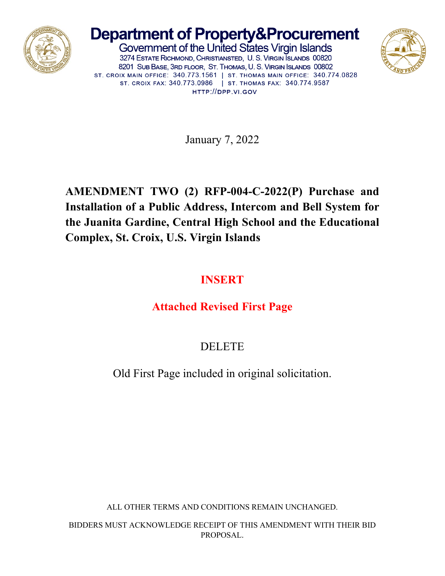

# **Department of Property&Procurement**

Government of the United States Virgin Islands 3274 ESTATE RICHMOND, CHRISTIANSTED, U. S. VIRGIN ISLANDS 00820 8201 SUB BASE, 3RD FLOOR, ST. THOMAS, U. S. VIRGIN ISLANDS 00802 ST. CROIX MAIN OFFICE: 340.773.1561 | ST. THOMAS MAIN OFFICE: 340.774.0828 ST. CROIX FAX: 340.773.0986 | ST. THOMAS FAX: 340.774.9587 HTTP://DPP.VI.GOV



January 7, 2022

## **AMENDMENT TWO (2) RFP-004-C-2022(P) Purchase and Installation of a Public Address, Intercom and Bell System for the Juanita Gardine, Central High School and the Educational Complex, St. Croix, U.S. Virgin Islands**

### **INSERT**

## **Attached Revised First Page**

DELETE

Old First Page included in original solicitation.

ALL OTHER TERMS AND CONDITIONS REMAIN UNCHANGED.

BIDDERS MUST ACKNOWLEDGE RECEIPT OF THIS AMENDMENT WITH THEIR BID PROPOSAL.